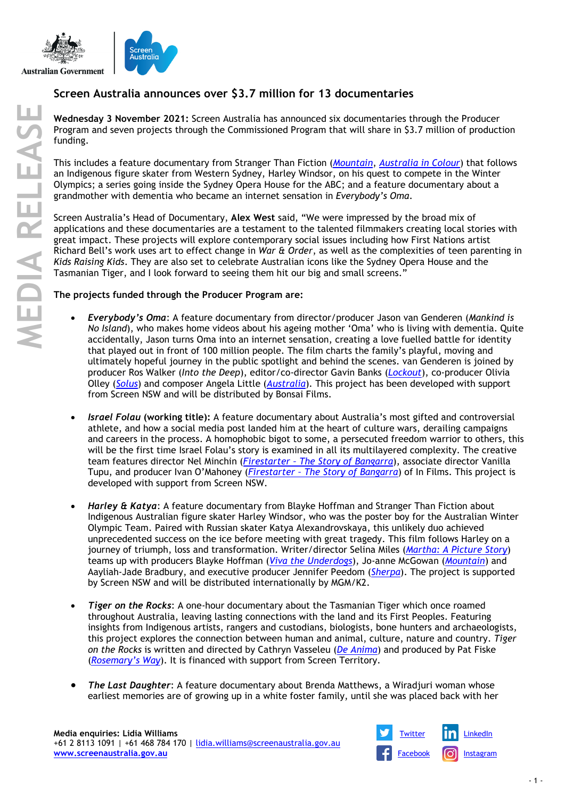

## **Screen Australia announces over \$3.7 million for 13 documentaries**

**Wednesday 3 November 2021:** Screen Australia has announced six documentaries through the Producer Program and seven projects through the Commissioned Program that will share in \$3.7 million of production funding.

This includes a feature documentary from Stranger Than Fiction (*[Mountain](https://www.screenaustralia.gov.au/the-screen-guide/t/Mountain-2017/33797)*, *[Australia in Colour](https://www.screenaustralia.gov.au/the-screen-guide/t/Australia-in-Colour-series-1-2018/36401)*) that follows an Indigenous figure skater from Western Sydney, Harley Windsor, on his quest to compete in the Winter Olympics; a series going inside the Sydney Opera House for the ABC; and a feature documentary about a grandmother with dementia who became an internet sensation in *Everybody's Oma*.

Screen Australia's Head of Documentary, **Alex West** said, "We were impressed by the broad mix of applications and these documentaries are a testament to the talented filmmakers creating local stories with great impact. These projects will explore contemporary social issues including how First Nations artist Richard Bell's work uses art to effect change in *War & Order*, as well as the complexities of teen parenting in *Kids Raising Kids*. They are also set to celebrate Australian icons like the Sydney Opera House and the Tasmanian Tiger, and I look forward to seeing them hit our big and small screens."

## **The projects funded through the Producer Program are:**

- *Everybody's Oma*: A feature documentary from director/producer Jason van Genderen (*Mankind is No Island*), who makes home videos about his ageing mother 'Oma' who is living with dementia. Quite accidentally, Jason turns Oma into an internet sensation, creating a love fuelled battle for identity that played out in front of 100 million people. The film charts the family's playful, moving and ultimately hopeful journey in the public spotlight and behind the scenes. van Genderen is joined by producer Ros Walker (*Into the Deep*), editor/co-director Gavin Banks (*[Lockout](https://www.screenaustralia.gov.au/the-screen-guide/t/Lockout---Australias-Most-Violent-Industrial-Conflict-2007/25540)*), co-producer Olivia Olley (*[Solus](https://www.screenaustralia.gov.au/the-screen-guide/t/Solus-2006/26035)*) and composer Angela Little (*[Australia](https://www.screenaustralia.gov.au/the-screen-guide/t/Australia-2008/21830)*). This project has been developed with support from Screen NSW and will be distributed by Bonsai Films.
- *Israel Folau* **(working title):** A feature documentary about Australia's most gifted and controversial athlete, and how a social media post landed him at the heart of culture wars, derailing campaigns and careers in the process. A homophobic bigot to some, a persecuted freedom warrior to others, this will be the first time Israel Folau's story is examined in all its multilayered complexity. The creative team features director Nel Minchin (*Firestarter – [The Story of Bangarra](https://www.screenaustralia.gov.au/the-screen-guide/t/Firestarter---The-Story-of-Bangarra-2020/36786)*), associate director Vanilla Tupu, and producer Ivan O'Mahoney (*Firestarter – [The Story of Bangarra](https://www.screenaustralia.gov.au/the-screen-guide/t/Firestarter---The-Story-of-Bangarra-2020/36786)*) of In Films. This project is developed with support from Screen NSW.
- *Harley & Katya*: A feature documentary from Blayke Hoffman and Stranger Than Fiction about Indigenous Australian figure skater Harley Windsor, who was the poster boy for the Australian Winter Olympic Team. Paired with Russian skater Katya Alexandrovskaya, this unlikely duo achieved unprecedented success on the ice before meeting with great tragedy. This film follows Harley on a journey of triumph, loss and transformation. Writer/director Selina Miles (*[Martha: A Picture Story](https://www.screenaustralia.gov.au/the-screen-guide/t/martha--a-picture-story-2019/37076)*) teams up with producers Blayke Hoffman (*[Viva the Underdogs](https://www.screenaustralia.gov.au/the-screen-guide/t/Viva-the-Underdogs-2019/38701)*), Jo-anne McGowan (*[Mountain](https://www.screenaustralia.gov.au/the-screen-guide/t/Mountain-2017/33797)*) and Aayliah-Jade Bradbury, and executive producer Jennifer Peedom (*[Sherpa](https://www.screenaustralia.gov.au/the-screen-guide/t/sherpa-2016/32136)*). The project is supported by Screen NSW and will be distributed internationally by MGM/K2.
- *Tiger on the Rocks*: A one-hour documentary about the Tasmanian Tiger which once roamed throughout Australia, leaving lasting connections with the land and its First Peoples. Featuring insights from Indigenous artists, rangers and custodians, biologists, bone hunters and archaeologists, this project explores the connection between human and animal, culture, nature and country. *Tiger on the Rocks* is written and directed by Cathryn Vasseleu (*[De Anima](https://www.screenaustralia.gov.au/the-screen-guide/t/De-Anima-1991/3210)*) and produced by Pat Fiske (*[Rosemary's Way](https://www.screenaustralia.gov.au/the-screen-guide/t/Rosemarys-Way-2020/38061)*). It is financed with support from Screen Territory.
- *The Last Daughter*: A feature documentary about Brenda Matthews, a Wiradjuri woman whose earliest memories are of growing up in a white foster family, until she was placed back with her

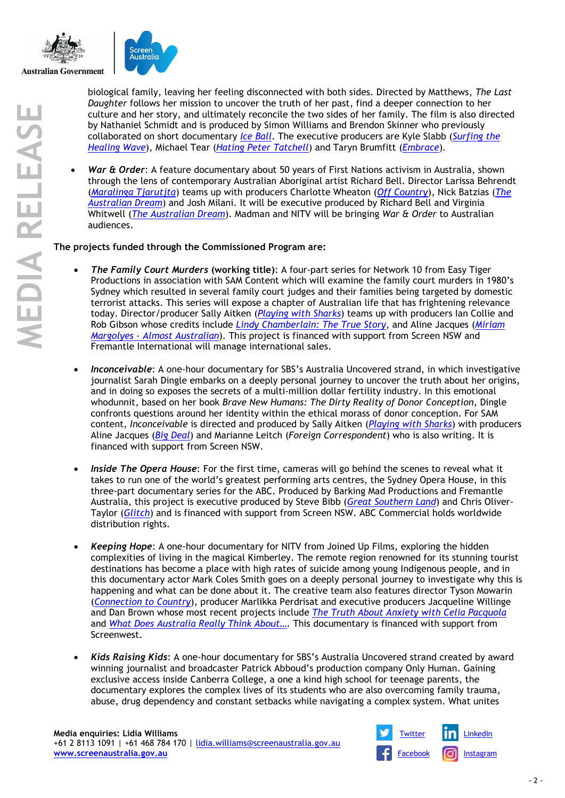

biological family, leaving her feeling disconnected with both sides. Directed by Matthews, *The Last Daughter* follows her mission to uncover the truth of her past, find a deeper connection to her culture and her story, and ultimately reconcile the two sides of her family. The film is also directed by Nathaniel Schmidt and is produced by Simon Williams and Brendon Skinner who previously collaborated on short documentary *[Ice Ball](https://www.gravityfilms.com.au/iceball/)*. The executive producers are Kyle Slabb (*[Surfing the](https://www.screenaustralia.gov.au/the-screen-guide/t/Surfing-the-Healing-Wave-1998/14288)  [Healing Wave](https://www.screenaustralia.gov.au/the-screen-guide/t/Surfing-the-Healing-Wave-1998/14288)*), Michael Tear (*[Hating Peter Tatchell](https://www.screenaustralia.gov.au/the-screen-guide/t/Hating-Peter-Tatchell-2020/38246)*) and Taryn Brumfitt (*[Embrace](https://www.screenaustralia.gov.au/the-screen-guide/t/embrace-2016/34520)*).

• *War & Order*: A feature documentary about 50 years of First Nations activism in Australia, shown through the lens of contemporary Australian Aboriginal artist Richard Bell. Director Larissa Behrendt (*[Maralinga Tjarutjta](https://www.screenaustralia.gov.au/the-screen-guide/t/Maralinga-Tjarutja-2020/38491)*) teams up with producers Charlotte Wheaton (*[Off Country](https://www.screenaustralia.gov.au/the-screen-guide/t/Off-Country-(working-title)-2021/38226)*), Nick Batzias (*[The](https://www.screenaustralia.gov.au/the-screen-guide/t/The-Australian-Dream-2019/37090)  [Australian Dream](https://www.screenaustralia.gov.au/the-screen-guide/t/The-Australian-Dream-2019/37090)*) and Josh Milani. It will be executive produced by Richard Bell and Virginia Whitwell (*[The Australian Dream](https://www.screenaustralia.gov.au/the-screen-guide/t/The-Australian-Dream-2019/37090)*). Madman and NITV will be bringing *War & Order* to Australian audiences.

## **The projects funded through the Commissioned Program are:**

- *The Family Court Murders* **(working title)**: A four-part series for Network 10 from Easy Tiger Productions in association with SAM Content which will examine the family court murders in 1980's Sydney which resulted in several family court judges and their families being targeted by domestic terrorist attacks. This series will expose a chapter of Australian life that has frightening relevance today. Director/producer Sally Aitken (*[Playing with Sharks](https://www.screenaustralia.gov.au/the-screen-guide/t/Playing-With-Sharks-2020/37042)*) teams up with producers Ian Collie and Rob Gibson whose credits include *[Lindy Chamberlain: The True Story](https://www.screenaustralia.gov.au/the-screen-guide/t/Lindy-Chamberlain--The-True-Story-2020/38966)*, and Aline Jacques (*[Miriam](https://www.screenaustralia.gov.au/the-screen-guide/t/Miriam-Margolyes----Almost-Australian-2020/37578)  Margolyes - [Almost Australian](https://www.screenaustralia.gov.au/the-screen-guide/t/Miriam-Margolyes----Almost-Australian-2020/37578)*). This project is financed with support from Screen NSW and Fremantle International will manage international sales.
- *Inconceivable*: A one-hour documentary for SBS's Australia Uncovered strand, in which investigative journalist Sarah Dingle embarks on a deeply personal journey to uncover the truth about her origins, and in doing so exposes the secrets of a multi-million dollar fertility industry. In this emotional whodunnit, based on her book *Brave New Humans: The Dirty Reality of Donor Conception*, Dingle confronts questions around her identity within the ethical morass of donor conception. For SAM content, *Inconceivable* is directed and produced by Sally Aitken (*[Playing with Sharks](https://www.screenaustralia.gov.au/the-screen-guide/t/Playing-With-Sharks-2020/37042)*) with producers Aline Jacques (*[Big Deal](https://www.screenaustralia.gov.au/the-screen-guide/t/Big-Deal-2021/37313)*) and Marianne Leitch (*Foreign Correspondent*) who is also writing. It is financed with support from Screen NSW.
- *Inside The Opera House*: For the first time, cameras will go behind the scenes to reveal what it takes to run one of the world's greatest performing arts centres, the Sydney Opera House, in this three-part documentary series for the ABC. Produced by Barking Mad Productions and Fremantle Australia, this project is executive produced by Steve Bibb (*[Great Southern Land](https://www.screenaustralia.gov.au/the-screen-guide/t/Great-Southern-Land-2012/30792)*) and Chris Oliver-Taylor (*[Glitch](https://www.screenaustralia.gov.au/the-screen-guide/t/Glitch-series-2-2017/34664)*) and is financed with support from Screen NSW. ABC Commercial holds worldwide distribution rights.
- *Keeping Hope*: A one-hour documentary for NITV from Joined Up Films, exploring the hidden complexities of living in the magical Kimberley. The remote region renowned for its stunning tourist destinations has become a place with high rates of suicide among young Indigenous people, and in this documentary actor Mark Coles Smith goes on a deeply personal journey to investigate why this is happening and what can be done about it. The creative team also features director Tyson Mowarin (*[Connection to Country](https://www.screenaustralia.gov.au/the-screen-guide/t/Connection-to-Country-2017/35332)*), producer Marlikka Perdrisat and executive producers Jacqueline Willinge and Dan Brown whose most recent projects include *[The Truth About Anxiety with Celia Pacquola](https://www.screenaustralia.gov.au/the-screen-guide/t/the-truth-about-anxiety-with-celia-pacquola-2021/39255)* and *[What Does Australia Really Think About…](https://www.screenaustralia.gov.au/the-screen-guide/t/what-does-australia-really-think-about----2021/38717)*. This documentary is financed with support from Screenwest.
- *Kids Raising Kids*: A one-hour documentary for SBS's Australia Uncovered strand created by award winning journalist and broadcaster Patrick Abboud's production company Only Human. Gaining exclusive access inside Canberra College, a one a kind high school for teenage parents, the documentary explores the complex lives of its students who are also overcoming family trauma, abuse, drug dependency and constant setbacks while navigating a complex system. What unites